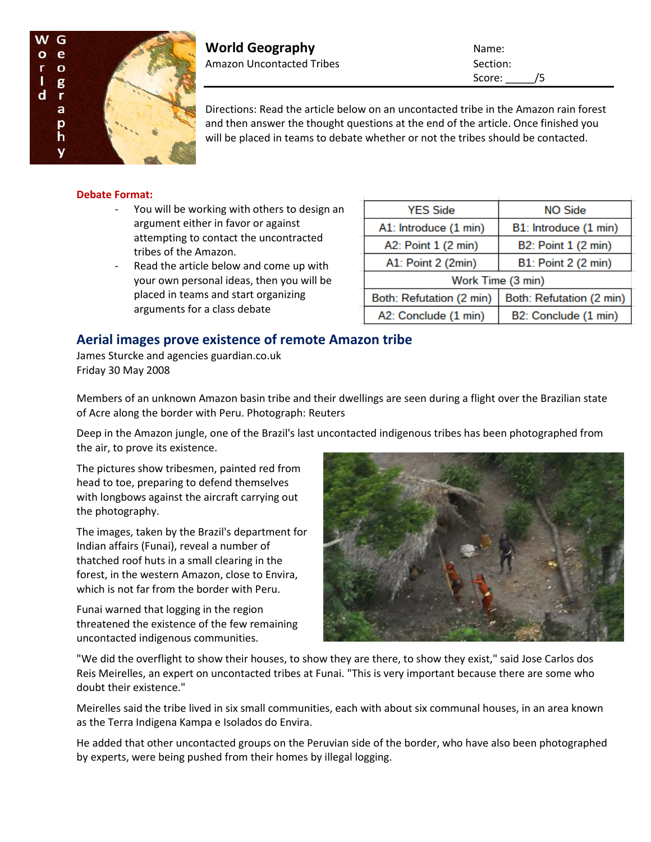

**World Geography** Name: Amazon Uncontacted Tribes Section:

Score: /5

Directions: Read the article below on an uncontacted tribe in the Amazon rain forest and then answer the thought questions at the end of the article. Once finished you will be placed in teams to debate whether or not the tribes should be contacted.

## **Debate Format:**

- You will be working with others to design an argument either in favor or against attempting to contact the uncontracted tribes of the Amazon.
- Read the article below and come up with your own personal ideas, then you will be placed in teams and start organizing arguments for a class debate

| <b>YES Side</b>          | <b>NO Side</b>           |
|--------------------------|--------------------------|
| A1: Introduce (1 min)    | B1: Introduce (1 min)    |
| A2: Point 1 (2 min)      | B2: Point 1 (2 min)      |
| A1: Point 2 (2min)       | B1: Point 2 (2 min)      |
| Work Time (3 min)        |                          |
| Both: Refutation (2 min) | Both: Refutation (2 min) |
| A2: Conclude (1 min)     | B2: Conclude (1 min)     |

## **Aerial images prove existence of remote Amazon tribe**

James Sturcke and agencies guardian.co.uk Friday 30 May 2008

Members of an unknown Amazon basin tribe and their dwellings are seen during a flight over the Brazilian state of Acre along the border with Peru. Photograph: Reuters

Deep in the Amazon jungle, one of the Brazil's last uncontacted indigenous tribes has been photographed from the air, to prove its existence.

The pictures show tribesmen, painted red from head to toe, preparing to defend themselves with longbows against the aircraft carrying out the photography.

The images, taken by the Brazil's department for Indian affairs (Funai), reveal a number of thatched roof huts in a small clearing in the forest, in the western Amazon, close to Envira, which is not far from the border with Peru.

Funai warned that logging in the region threatened the existence of the few remaining uncontacted indigenous communities.



"We did the overflight to show their houses, to show they are there, to show they exist," said Jose Carlos dos Reis Meirelles, an expert on uncontacted tribes at Funai. "This is very important because there are some who doubt their existence."

Meirelles said the tribe lived in six small communities, each with about six communal houses, in an area known as the Terra Indigena Kampa e Isolados do Envira.

He added that other uncontacted groups on the Peruvian side of the border, who have also been photographed by experts, were being pushed from their homes by illegal logging.